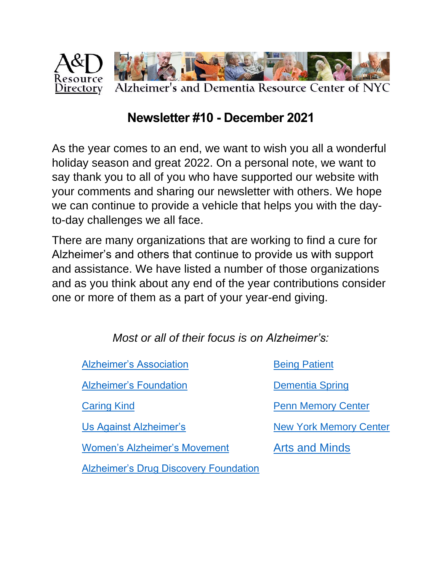

## **Newsletter #10 - December 2021**

As the year comes to an end, we want to wish you all a wonderful holiday season and great 2022. On a personal note, we want to say thank you to all of you who have supported our website with your comments and sharing our newsletter with others. We hope we can continue to provide a vehicle that helps you with the dayto-day challenges we all face.

There are many organizations that are working to find a cure for Alzheimer's and others that continue to provide us with support and assistance. We have listed a number of those organizations and as you think about any end of the year contributions consider one or more of them as a part of your year-end giving.

*Most or all of their focus is on Alzheimer's:*

| <b>Alzheimer's Association</b>               | <b>Being Patient</b>          |
|----------------------------------------------|-------------------------------|
| <b>Alzheimer's Foundation</b>                | <b>Dementia Spring</b>        |
| <b>Caring Kind</b>                           | <b>Penn Memory Center</b>     |
| Us Against Alzheimer's                       | <b>New York Memory Center</b> |
| <b>Women's Alzheimer's Movement</b>          | <b>Arts and Minds</b>         |
| <b>Alzheimer's Drug Discovery Foundation</b> |                               |